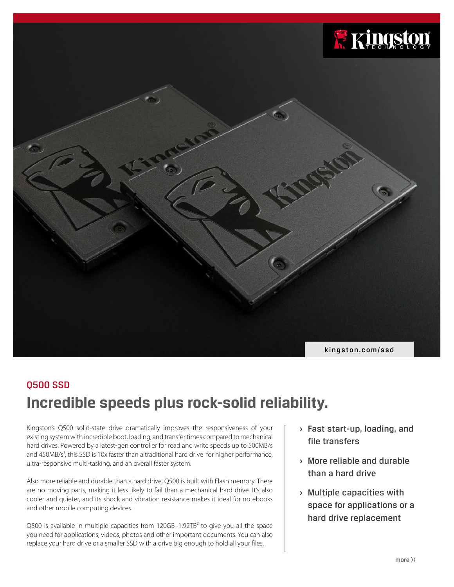

# **Incredible speeds plus rock-solid reliability.** Q500 SSD

Kingston's Q500 solid-state drive dramatically improves the responsiveness of your existing system with incredible boot, loading, and transfer times compared to mechanical hard drives. Powered by a latest-gen controller for read and write speeds up to 500MB/s and 450MB/s<sup>1</sup>, this SSD is 10x faster than a traditional hard drive<sup>1</sup> for higher performance, ultra-responsive multi-tasking, and an overall faster system.

Also more reliable and durable than a hard drive, Q500 is built with Flash memory. There are no moving parts, making it less likely to fail than a mechanical hard drive. It's also cooler and quieter, and its shock and vibration resistance makes it ideal for notebooks and other mobile computing devices.

Q500 is available in multiple capacities from 120GB-1.92TB<sup>2</sup> to give you all the space you need for applications, videos, photos and other important documents. You can also replace your hard drive or a smaller SSD with a drive big enough to hold all your files.

- **›** Fast start-up, loading, and file transfers
- **›** More reliable and durable than a hard drive
- **›** Multiple capacities with space for applications or a hard drive replacement